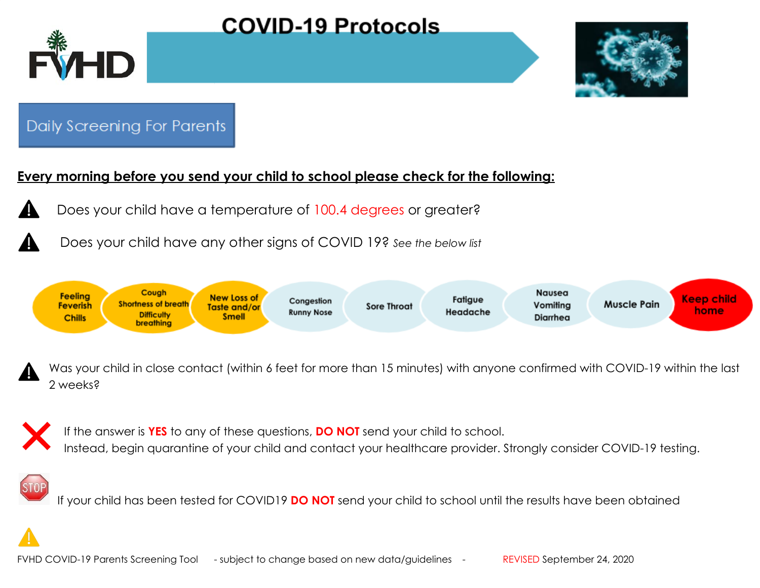

## **COVID-19 Protocols**



### Daily Screening For Parents

#### **Every morning before you send your child to school please check for the following:**

- Does your child have a temperature of 100.4 degrees or greater?
	- Does your child have any other signs of COVID 19? *See the below list*



Was your child in close contact (within 6 feet for more than 15 minutes) with anyone confirmed with COVID-19 within the last 2 weeks?



If the answer is **YES** to any of these questions, **DO NOT** send your child to school. Instead, begin quarantine of your child and contact your healthcare provider. Strongly consider COVID-19 testing.

If your child has been tested for COVID19 **DO NOT** send your child to school until the results have been obtained

FVHD COVID-19 Parents Screening Tool - subject to change based on new data/guidelines - REVISED September 24, 2020